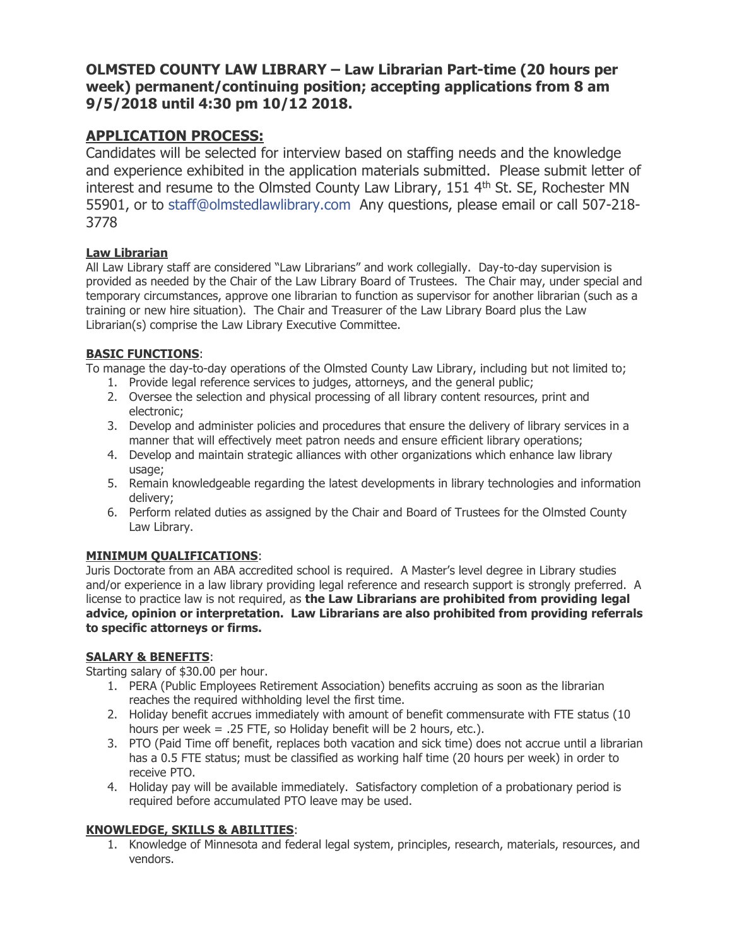## **OLMSTED COUNTY LAW LIBRARY – Law Librarian Part-time (20 hours per week) permanent/continuing position; accepting applications from 8 am 9/5/2018 until 4:30 pm 10/12 2018.**

# **APPLICATION PROCESS:**

Candidates will be selected for interview based on staffing needs and the knowledge and experience exhibited in the application materials submitted. Please submit letter of interest and resume to the Olmsted County Law Library, 151 4th St. SE, Rochester MN 55901, or to [staff@olmstedlawlibrary.com](mailto:staff@olmstedlawlibrary.com) Any questions, please email or call 507-218- 3778

### **Law Librarian**

All Law Library staff are considered "Law Librarians" and work collegially. Day-to-day supervision is provided as needed by the Chair of the Law Library Board of Trustees. The Chair may, under special and temporary circumstances, approve one librarian to function as supervisor for another librarian (such as a training or new hire situation). The Chair and Treasurer of the Law Library Board plus the Law Librarian(s) comprise the Law Library Executive Committee.

### **BASIC FUNCTIONS**:

To manage the day-to-day operations of the Olmsted County Law Library, including but not limited to;

- 1. Provide legal reference services to judges, attorneys, and the general public;
- 2. Oversee the selection and physical processing of all library content resources, print and electronic;
- 3. Develop and administer policies and procedures that ensure the delivery of library services in a manner that will effectively meet patron needs and ensure efficient library operations;
- 4. Develop and maintain strategic alliances with other organizations which enhance law library usage;
- 5. Remain knowledgeable regarding the latest developments in library technologies and information delivery;
- 6. Perform related duties as assigned by the Chair and Board of Trustees for the Olmsted County Law Library.

## **MINIMUM QUALIFICATIONS**:

Juris Doctorate from an ABA accredited school is required. A Master's level degree in Library studies and/or experience in a law library providing legal reference and research support is strongly preferred. A license to practice law is not required, as **the Law Librarians are prohibited from providing legal advice, opinion or interpretation. Law Librarians are also prohibited from providing referrals to specific attorneys or firms.** 

### **SALARY & BENEFITS**:

Starting salary of \$30.00 per hour.

- 1. PERA (Public Employees Retirement Association) benefits accruing as soon as the librarian reaches the required withholding level the first time.
- 2. Holiday benefit accrues immediately with amount of benefit commensurate with FTE status (10 hours per week = .25 FTE, so Holiday benefit will be 2 hours, etc.).
- 3. PTO (Paid Time off benefit, replaces both vacation and sick time) does not accrue until a librarian has a 0.5 FTE status; must be classified as working half time (20 hours per week) in order to receive PTO.
- 4. Holiday pay will be available immediately. Satisfactory completion of a probationary period is required before accumulated PTO leave may be used.

### **KNOWLEDGE, SKILLS & ABILITIES**:

1. Knowledge of Minnesota and federal legal system, principles, research, materials, resources, and vendors.